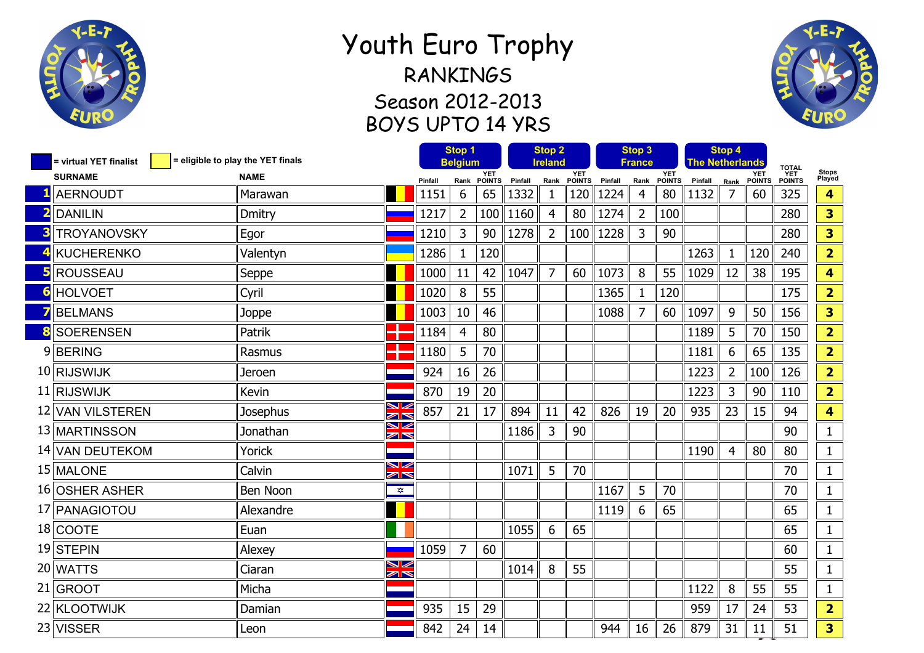

## Youth Euro Trophy RANKINGS Season 2012-2013 BOYS UPTO 14 YRS



| = eligible to play the YET finals<br>= virtual YET finalist |               | Stop 1<br><b>Belgium</b>                       |         | <b>Stop 2</b><br>Ireland |               |         | Stop 3<br>France |               |         | <b>The Netherlands</b> | Stop 4        |         | <b>TOTAL</b>   |                             |                      |                         |
|-------------------------------------------------------------|---------------|------------------------------------------------|---------|--------------------------|---------------|---------|------------------|---------------|---------|------------------------|---------------|---------|----------------|-----------------------------|----------------------|-------------------------|
| <b>SURNAME</b>                                              | <b>NAME</b>   |                                                | Pinfall | Rank                     | YET<br>POINTS | Pinfall | Rank             | YET<br>POINTS | Pinfall | Rank                   | YET<br>POINTS | Pinfall | Rank           | <b>YET</b><br><b>POINTS</b> | <b>YET</b><br>POINTS | Stops<br>Played         |
| <b>AERNOUDT</b>                                             | Marawan       |                                                | 1151    | 6                        | 65            | 1332    | $\mathbf 1$      | 120           | 1224    | 4                      | 80            | 1132    | $\overline{7}$ | 60                          | 325                  | 4                       |
| <b>DANILIN</b>                                              | <b>Dmitry</b> |                                                | 1217    | $\overline{2}$           | 100           | 1160    | $\overline{4}$   | 80            | 1274    | $\overline{2}$         | 100           |         |                |                             | 280                  | 3                       |
| <b>TROYANOVSKY</b>                                          | Egor          |                                                | 1210    | 3                        | 90            | 1278    | $\overline{2}$   | 100           | 1228    | 3                      | 90            |         |                |                             | 280                  | 3                       |
| <b>KUCHERENKO</b>                                           | Valentyn      |                                                | 1286    | 1                        | 120           |         |                  |               |         |                        |               | 1263    | $\mathbf{1}$   | 120                         | 240                  | $\overline{2}$          |
| <b>ROUSSEAU</b>                                             | Seppe         |                                                | 1000    | 11                       | 42            | 1047    | $\overline{7}$   | 60            | 1073    | 8                      | 55            | 1029    | 12             | 38                          | 195                  | $\overline{\mathbf{4}}$ |
| <b>HOLVOET</b>                                              | Cyril         |                                                | 1020    | 8                        | 55            |         |                  |               | 1365    | $\mathbf{1}$           | 120           |         |                |                             | 175                  | $\overline{2}$          |
| <b>BELMANS</b>                                              | Joppe         |                                                | 1003    | 10                       | 46            |         |                  |               | 1088    | 7                      | 60            | 1097    | 9              | 50                          | 156                  | 3                       |
| <b>SOERENSEN</b>                                            | Patrik        |                                                | 1184    | $\overline{4}$           | 80            |         |                  |               |         |                        |               | 1189    | 5              | 70                          | 150                  | $\overline{2}$          |
| 9BERING                                                     | Rasmus        |                                                | 1180    | 5                        | 70            |         |                  |               |         |                        |               | 1181    | 6              | 65                          | 135                  | $\overline{2}$          |
| 10 RIJSWIJK                                                 | Jeroen        |                                                | 924     | 16                       | 26            |         |                  |               |         |                        |               | 1223    | $\overline{2}$ | 100                         | 126                  | $\overline{2}$          |
| 11 RIJSWIJK                                                 | Kevin         |                                                | 870     | 19                       | 20            |         |                  |               |         |                        |               | 1223    | 3              | 90                          | 110                  | $\overline{2}$          |
| 12 VAN VILSTEREN                                            | Josephus      | ↘⊻<br>$\geq$                                   | 857     | 21                       | 17            | 894     | 11               | 42            | 826     | 19                     | 20            | 935     | 23             | 15                          | 94                   | $\overline{\mathbf{4}}$ |
| 13 MARTINSSON                                               | Jonathan      | ↘<br>$\geq$                                    |         |                          |               | 1186    | 3                | 90            |         |                        |               |         |                |                             | 90                   | $\mathbf{1}$            |
| 14 VAN DEUTEKOM                                             | Yorick        |                                                |         |                          |               |         |                  |               |         |                        |               | 1190    | $\overline{4}$ | 80                          | 80                   | 1                       |
| 15 MALONE                                                   | Calvin        | $\blacktriangleright$<br>$\mathbb{Z}^{\infty}$ |         |                          |               | 1071    | 5                | 70            |         |                        |               |         |                |                             | 70                   | 1                       |
| 16 OSHER ASHER                                              | Ben Noon      | $\frac{1}{\sqrt{2}}$                           |         |                          |               |         |                  |               | 1167    | 5                      | 70            |         |                |                             | 70                   | 1                       |
| 17 PANAGIOTOU                                               | Alexandre     |                                                |         |                          |               |         |                  |               | 1119    | 6                      | 65            |         |                |                             | 65                   | $\mathbf{1}$            |
| 18 COOTE                                                    | Euan          |                                                |         |                          |               | 1055    | 6                | 65            |         |                        |               |         |                |                             | 65                   | $\mathbf{1}$            |
| 19 STEPIN                                                   | Alexey        |                                                | 1059    | $\overline{7}$           | 60            |         |                  |               |         |                        |               |         |                |                             | 60                   | $\mathbf{1}$            |
| 20 WATTS                                                    | Ciaran        | V<br>N                                         |         |                          |               | 1014    | 8                | 55            |         |                        |               |         |                |                             | 55                   | $\mathbf{1}$            |
| 21 GROOT                                                    | Micha         |                                                |         |                          |               |         |                  |               |         |                        |               | 1122    | 8              | 55                          | 55                   | $\mathbf{1}$            |
| 22 KLOOTWIJK                                                | Damian        |                                                | 935     | 15                       | 29            |         |                  |               |         |                        |               | 959     | 17             | 24                          | 53                   | $\overline{2}$          |
| 23 VISSER                                                   | Leon          |                                                | 842     | 24                       | 14            |         |                  |               | 944     | 16                     | 26            | 879     | 31             | 11                          | 51                   | 3                       |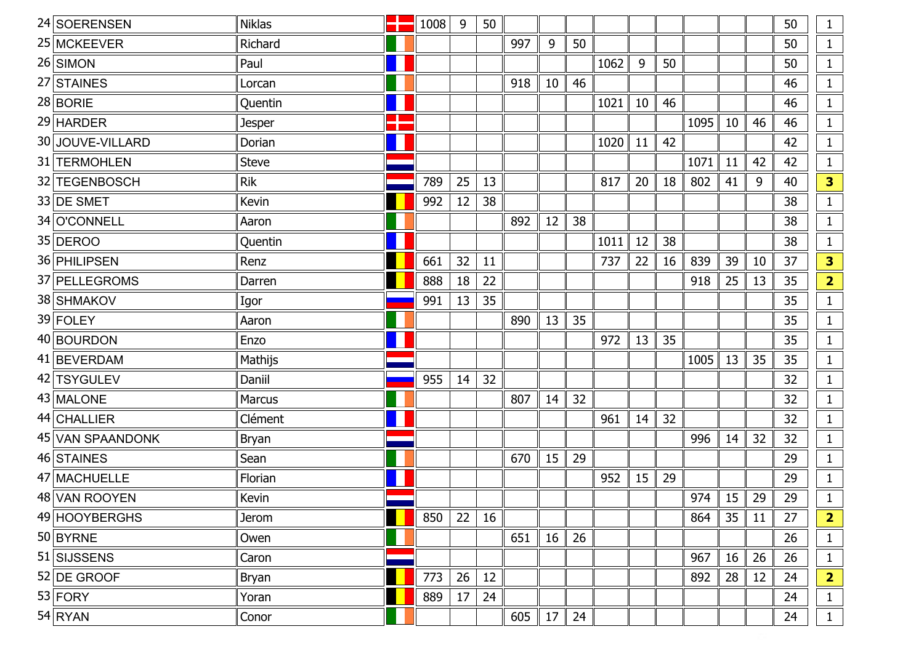| 24 SOERENSEN     | <b>Niklas</b> | 1008 | 9  | 50 |     |    |    |      |    |    |      |    |    | 50 | $\mathbf{1}$            |
|------------------|---------------|------|----|----|-----|----|----|------|----|----|------|----|----|----|-------------------------|
| 25 MCKEEVER      | Richard       |      |    |    | 997 | 9  | 50 |      |    |    |      |    |    | 50 | $\mathbf{1}$            |
| 26 SIMON         | Paul          |      |    |    |     |    |    | 1062 | 9  | 50 |      |    |    | 50 | $\mathbf{1}$            |
| 27 STAINES       | Lorcan        |      |    |    | 918 | 10 | 46 |      |    |    |      |    |    | 46 | $\mathbf{1}$            |
| $28$ BORIE       | Quentin       |      |    |    |     |    |    | 1021 | 10 | 46 |      |    |    | 46 | $\mathbf{1}$            |
| $29$ HARDER      | <b>Jesper</b> |      |    |    |     |    |    |      |    |    | 1095 | 10 | 46 | 46 | $\mathbf{1}$            |
| 30 JOUVE-VILLARD | Dorian        |      |    |    |     |    |    | 1020 | 11 | 42 |      |    |    | 42 | $\mathbf{1}$            |
| 31 TERMOHLEN     | <b>Steve</b>  |      |    |    |     |    |    |      |    |    | 1071 | 11 | 42 | 42 | $\mathbf{1}$            |
| 32 TEGENBOSCH    | <b>Rik</b>    | 789  | 25 | 13 |     |    |    | 817  | 20 | 18 | 802  | 41 | 9  | 40 | 3                       |
| 33 DE SMET       | Kevin         | 992  | 12 | 38 |     |    |    |      |    |    |      |    |    | 38 | $\mathbf{1}$            |
| 34 O'CONNELL     | Aaron         |      |    |    | 892 | 12 | 38 |      |    |    |      |    |    | 38 | $\mathbf{1}$            |
| 35 DEROO         | Quentin       |      |    |    |     |    |    | 1011 | 12 | 38 |      |    |    | 38 | $\mathbf{1}$            |
| 36 PHILIPSEN     | Renz          | 661  | 32 | 11 |     |    |    | 737  | 22 | 16 | 839  | 39 | 10 | 37 | 3                       |
| 37 PELLEGROMS    | Darren        | 888  | 18 | 22 |     |    |    |      |    |    | 918  | 25 | 13 | 35 | $\overline{2}$          |
| 38 SHMAKOV       | Igor          | 991  | 13 | 35 |     |    |    |      |    |    |      |    |    | 35 | $\mathbf{1}$            |
| 39 FOLEY         | Aaron         |      |    |    | 890 | 13 | 35 |      |    |    |      |    |    | 35 | $\mathbf{1}$            |
| 40 BOURDON       | Enzo          |      |    |    |     |    |    | 972  | 13 | 35 |      |    |    | 35 | $\mathbf{1}$            |
| 41 BEVERDAM      | Mathijs       |      |    |    |     |    |    |      |    |    | 1005 | 13 | 35 | 35 | $\mathbf{1}$            |
| 42 TSYGULEV      | Daniil        | 955  | 14 | 32 |     |    |    |      |    |    |      |    |    | 32 | $\mathbf{1}$            |
| 43 MALONE        | <b>Marcus</b> |      |    |    | 807 | 14 | 32 |      |    |    |      |    |    | 32 | $\mathbf{1}$            |
| 44 CHALLIER      | Clément       |      |    |    |     |    |    | 961  | 14 | 32 |      |    |    | 32 | $\mathbf{1}$            |
| 45 VAN SPAANDONK | Bryan         |      |    |    |     |    |    |      |    |    | 996  | 14 | 32 | 32 | $\mathbf{1}$            |
| 46 STAINES       | Sean          |      |    |    | 670 | 15 | 29 |      |    |    |      |    |    | 29 | $\mathbf{1}$            |
| 47 MACHUELLE     | Florian       |      |    |    |     |    |    | 952  | 15 | 29 |      |    |    | 29 | $\mathbf{1}$            |
| 48 VAN ROOYEN    | Kevin         |      |    |    |     |    |    |      |    |    | 974  | 15 | 29 | 29 | $\mathbf{1}$            |
| 49 HOOYBERGHS    | <b>Jerom</b>  | 850  | 22 | 16 |     |    |    |      |    |    | 864  | 35 | 11 | 27 | $\overline{\mathbf{2}}$ |
| $50$ BYRNE       | Owen          |      |    |    | 651 | 16 | 26 |      |    |    |      |    |    | 26 | $\mathbf{1}$            |
| 51 SIJSSENS      | Caron         |      |    |    |     |    |    |      |    |    | 967  | 16 | 26 | 26 | $\mathbf{1}$            |
| $52$ DE GROOF    | Bryan         | 773  | 26 | 12 |     |    |    |      |    |    | 892  | 28 | 12 | 24 | $\overline{\mathbf{2}}$ |
| $53$ FORY        | Yoran         | 889  | 17 | 24 |     |    |    |      |    |    |      |    |    | 24 | $\mathbf{1}$            |
| $54$ RYAN        | Conor         |      |    |    | 605 | 17 | 24 |      |    |    |      |    |    | 24 | $\mathbf{1}$            |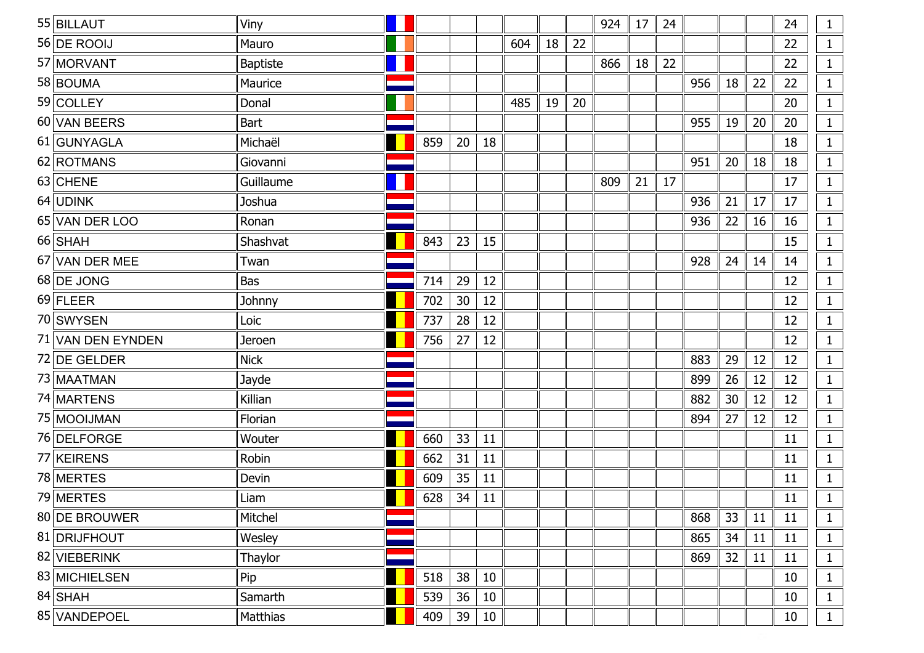| 55 BILLAUT        | Viny            |     |    |    |     |    |    | 924 | 17 | 24 |     |    |    | 24 | $\mathbf{1}$ |
|-------------------|-----------------|-----|----|----|-----|----|----|-----|----|----|-----|----|----|----|--------------|
| 56 DE ROOIJ       | Mauro           |     |    |    | 604 | 18 | 22 |     |    |    |     |    |    | 22 | $\mathbf{1}$ |
| 57 MORVANT        | <b>Baptiste</b> |     |    |    |     |    |    | 866 | 18 | 22 |     |    |    | 22 | $\mathbf 1$  |
| 58 BOUMA          | Maurice         |     |    |    |     |    |    |     |    |    | 956 | 18 | 22 | 22 | $\mathbf{1}$ |
| 59 COLLEY         | Donal           |     |    |    | 485 | 19 | 20 |     |    |    |     |    |    | 20 | $\mathbf{1}$ |
| 60 VAN BEERS      | Bart            |     |    |    |     |    |    |     |    |    | 955 | 19 | 20 | 20 | $\mathbf{1}$ |
| 61 GUNYAGLA       | Michaël         | 859 | 20 | 18 |     |    |    |     |    |    |     |    |    | 18 | $\mathbf{1}$ |
| 62 ROTMANS        | Giovanni        |     |    |    |     |    |    |     |    |    | 951 | 20 | 18 | 18 | $\mathbf{1}$ |
| 63 CHENE          | Guillaume       |     |    |    |     |    |    | 809 | 21 | 17 |     |    |    | 17 | $\mathbf{1}$ |
| 64 UDINK          | Joshua          |     |    |    |     |    |    |     |    |    | 936 | 21 | 17 | 17 | $\mathbf{1}$ |
| 65 VAN DER LOO    | Ronan           |     |    |    |     |    |    |     |    |    | 936 | 22 | 16 | 16 | $\mathbf{1}$ |
| $66$ SHAH         | Shashvat        | 843 | 23 | 15 |     |    |    |     |    |    |     |    |    | 15 | $\mathbf{1}$ |
| 67 VAN DER MEE    | Twan            |     |    |    |     |    |    |     |    |    | 928 | 24 | 14 | 14 | $\mathbf{1}$ |
| 68 DE JONG        | <b>Bas</b>      | 714 | 29 | 12 |     |    |    |     |    |    |     |    |    | 12 | $\mathbf{1}$ |
| $69$ FLEER        | Johnny          | 702 | 30 | 12 |     |    |    |     |    |    |     |    |    | 12 | $\mathbf{1}$ |
| 70 SWYSEN         | Loic            | 737 | 28 | 12 |     |    |    |     |    |    |     |    |    | 12 |              |
| 71 VAN DEN EYNDEN | Jeroen          | 756 | 27 | 12 |     |    |    |     |    |    |     |    |    | 12 |              |
| 72 DE GELDER      | <b>Nick</b>     |     |    |    |     |    |    |     |    |    | 883 | 29 | 12 | 12 |              |
| 73 MAATMAN        | Jayde           |     |    |    |     |    |    |     |    |    | 899 | 26 | 12 | 12 | $\mathbf{1}$ |
| 74 MARTENS        | Killian         |     |    |    |     |    |    |     |    |    | 882 | 30 | 12 | 12 |              |
| 75 MOOIJMAN       | Florian         |     |    |    |     |    |    |     |    |    | 894 | 27 | 12 | 12 | $\mathbf{1}$ |
| 76 DELFORGE       | Wouter          | 660 | 33 | 11 |     |    |    |     |    |    |     |    |    | 11 |              |
| 77 KEIRENS        | Robin           | 662 | 31 | 11 |     |    |    |     |    |    |     |    |    | 11 | $\mathbf{1}$ |
| 78 MERTES         | Devin           | 609 | 35 | 11 |     |    |    |     |    |    |     |    |    | 11 |              |
| 79 MERTES         | Liam            | 628 | 34 | 11 |     |    |    |     |    |    |     |    |    | 11 | $\mathbf{1}$ |
| 80 DE BROUWER     | Mitchel         |     |    |    |     |    |    |     |    |    | 868 | 33 | 11 | 11 | $\mathbf 1$  |
| 81 DRIJFHOUT      | Wesley          |     |    |    |     |    |    |     |    |    | 865 | 34 | 11 | 11 | $\mathbf{1}$ |
| 82 VIEBERINK      | Thaylor         |     |    |    |     |    |    |     |    |    | 869 | 32 | 11 | 11 | $\mathbf{1}$ |
| 83 MICHIELSEN     | Pip             | 518 | 38 | 10 |     |    |    |     |    |    |     |    |    | 10 | $\mathbf{1}$ |
| $84$ SHAH         | Samarth         | 539 | 36 | 10 |     |    |    |     |    |    |     |    |    | 10 | $\mathbf{1}$ |
| 85 VANDEPOEL      | Matthias        | 409 | 39 | 10 |     |    |    |     |    |    |     |    |    | 10 | $\mathbf{1}$ |
|                   |                 |     |    |    |     |    |    |     |    |    |     |    |    |    |              |